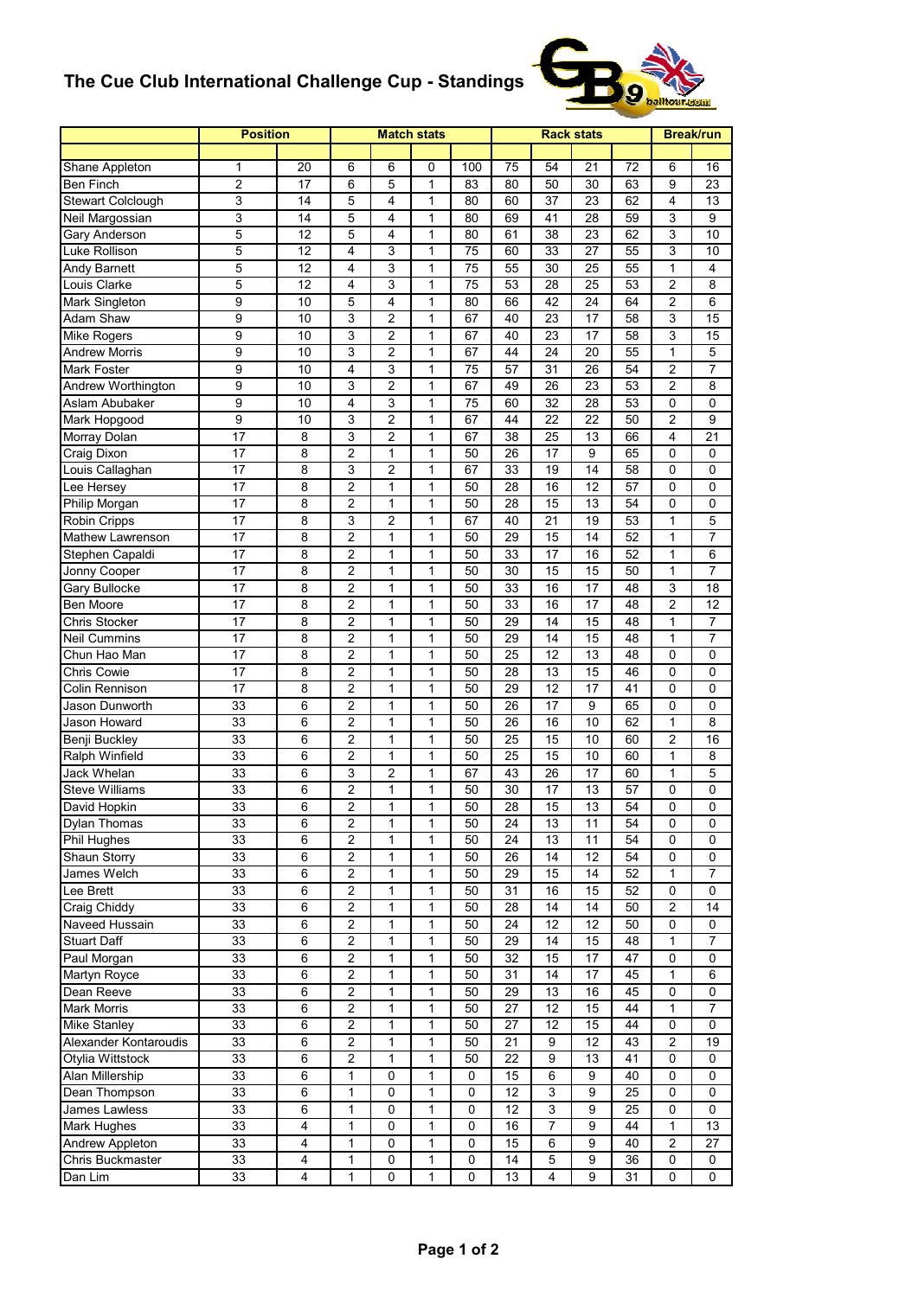## **The Cue Club International Challenge Cup - Standings**



|                                | <b>Position</b> | <b>Match stats</b> |                         |                |              |           |                 | <b>Rack stats</b> |                  |                 | <b>Break/run</b> |                 |
|--------------------------------|-----------------|--------------------|-------------------------|----------------|--------------|-----------|-----------------|-------------------|------------------|-----------------|------------------|-----------------|
|                                |                 |                    |                         |                |              |           |                 |                   |                  |                 |                  |                 |
| Shane Appleton                 | 1               | 20                 | 6                       | 6              | 0            | 100       | 75              | 54                | 21               | 72              | 6                | 16              |
| Ben Finch                      | 2               | 17                 | 6                       | 5              | $\mathbf{1}$ | 83        | 80              | 50                | 30               | 63              | 9                | 23              |
| <b>Stewart Colclough</b>       | 3               | 14                 | 5                       | 4              | 1            | 80        | 60              | 37                | 23               | 62              | $\overline{4}$   | 13              |
| Neil Margossian                | 3               | 14                 | 5                       | 4              | $\mathbf{1}$ | 80        | 69              | 41                | 28               | 59              | 3                | 9               |
| Gary Anderson                  | 5               | 12                 | 5                       | 4              | $\mathbf{1}$ | 80        | 61              | 38                | 23               | 62              | 3                | 10              |
| Luke Rollison                  | 5               | 12                 | 4                       | 3              | $\mathbf{1}$ | 75        | 60              | 33                | 27               | 55              | 3                | 10              |
| Andy Barnett                   | 5               | 12                 | 4                       | 3              | 1            | 75        | 55              | 30                | 25               | 55              | 1                | 4               |
| Louis Clarke                   | 5               | 12                 | 4                       | 3              | $\mathbf{1}$ | 75        | 53              | 28                | 25               | 53              | 2                | 8               |
| Mark Singleton                 | 9               | 10                 | 5                       | 4              | $\mathbf{1}$ | 80        | 66              | 42                | 24               | 64              | $\overline{2}$   | 6               |
| Adam Shaw                      | 9               | 10                 | 3                       | $\overline{c}$ | $\mathbf{1}$ | 67        | 40              | 23                | 17               | 58              | 3                | 15              |
| Mike Rogers                    | 9               | 10                 | 3                       | 2              | $\mathbf{1}$ | 67        | 40              | 23                | 17               | 58              | 3                | 15              |
| <b>Andrew Morris</b>           | 9               | 10                 | 3                       | 2              | 1            | 67        | 44              | 24                | 20               | 55              | 1                | 5               |
| Mark Foster                    | 9               | 10                 | 4                       | 3              | 1            | 75        | 57              | 31                | 26               | 54              | 2                | 7               |
| Andrew Worthington             | 9               | 10                 | 3                       | 2              | 1            | 67        | 49              | 26                | 23               | 53              | $\overline{2}$   | 8               |
| Aslam Abubaker                 | 9               | 10                 | 4                       | 3              | $\mathbf{1}$ | 75        | 60              | 32                | 28               | 53              | 0                | 0               |
| Mark Hopgood                   | 9               | 10                 | 3                       | 2              | $\mathbf{1}$ | 67        | 44              | 22                | 22               | 50              | 2                | 9               |
| Morray Dolan                   | 17              | 8                  | 3                       | 2              | 1            | 67        | 38              | 25                | 13               | 66              | $\overline{4}$   | 21              |
|                                | 17              | 8                  | $\overline{c}$          | 1              |              | 50        | 26              | 17                | 9                | 65              | 0                | 0               |
| Craig Dixon<br>Louis Callaghan |                 |                    |                         |                | 1            |           |                 |                   |                  |                 |                  |                 |
|                                | 17              | 8                  | 3                       | 2              | $\mathbf{1}$ | 67        | 33              | 19                | 14               | 58              | 0                | 0               |
| Lee Hersey                     | 17              | 8                  | $\overline{c}$          | 1              | $\mathbf{1}$ | 50        | 28              | 16                | 12               | 57              | $\Omega$         | 0               |
| Philip Morgan                  | 17              | 8                  | $\overline{2}$          | 1              | $\mathbf{1}$ | 50        | 28              | 15                | 13               | 54              | 0                | 0               |
| Robin Cripps                   | 17              | 8                  | 3                       | 2              | $\mathbf{1}$ | 67        | 40              | 21                | 19               | 53              | 1                | 5               |
| Mathew Lawrenson               | $\overline{17}$ | 8                  | $\overline{2}$          | 1              | 1            | 50        | $\overline{29}$ | $\overline{15}$   | $\overline{14}$  | $\overline{52}$ | $\mathbf{1}$     | $\overline{7}$  |
| Stephen Capaldi                | 17              | 8                  | $\overline{c}$          | 1              | 1            | 50        | 33              | 17                | 16               | 52              | 1                | 6               |
| Jonny Cooper                   | 17              | 8                  | $\overline{2}$          | 1              | $\mathbf{1}$ | 50        | 30              | 15                | 15               | 50              | 1                | 7               |
| Gary Bullocke                  | 17              | 8                  | $\overline{2}$          | 1              | $\mathbf{1}$ | 50        | 33              | 16                | 17               | 48              | 3                | 18              |
| Ben Moore                      | 17              | 8                  | 2                       | 1              | $\mathbf{1}$ | 50        | 33              | 16                | 17               | 48              | $\overline{c}$   | 12              |
| Chris Stocker                  | 17              | 8                  | $\overline{2}$          | 1              | 1            | 50        | 29              | 14                | 15               | 48              | 1                | $\overline{7}$  |
| <b>Neil Cummins</b>            | 17              | 8                  | $\overline{c}$          | 1              | 1            | 50        | 29              | 14                | 15               | 48              | 1                | 7               |
| Chun Hao Man                   | 17              | 8                  | $\overline{c}$          | 1              | 1            | 50        | 25              | 12                | 13               | 48              | 0                | 0               |
| Chris Cowie                    | 17              | 8                  | $\overline{2}$          | 1              | 1            | 50        | 28              | 13                | 15               | 46              | 0                | 0               |
| Colin Rennison                 | 17              | 8                  | $\overline{c}$          | 1              | 1            | 50        | 29              | $\overline{12}$   | 17               | 41              | 0                | 0               |
| Jason Dunworth                 | 33              | 6                  | $\overline{2}$          | 1              | 1            | 50        | 26              | 17                | 9                | 65              | 0                | 0               |
| Jason Howard                   | 33              | 6                  | $\overline{2}$          | 1              | 1            | 50        | 26              | 16                | 10               | 62              | $\mathbf{1}$     | 8               |
| Benji Buckley                  | 33              | 6                  | $\overline{2}$          | 1              | 1            | 50        | 25              | 15                | 10               | 60              | 2                | 16              |
| Ralph Winfield                 | 33              | 6                  | $\overline{c}$          | 1              | 1            | 50        | 25              | 15                | 10               | 60              | 1                | 8               |
| Jack Whelan                    | 33              | 6                  | 3                       | $\overline{c}$ | $\mathbf{1}$ | 67        | 43              | 26                | 17               | 60              | 1                | 5               |
| Steve Williams                 | 33              | 6                  | $\overline{c}$          | 1              | 1            | 50        | 30              | 17                | 13               | 57              | 0                | 0               |
| David Hopkin                   | 33              | 6                  | $\overline{c}$          | 1              | 1            | 50        | 28              | 15                | 13               | $\overline{54}$ | 0                | 0               |
| Dylan Thomas                   | 33              | 6                  | $\overline{2}$          | 1              | 1            | 50        | 24              | 13                | 11               | 54              | 0                | 0               |
| Phil Hughes                    | 33              | 6                  | 2                       | 1              | 1            | 50        | 24              | 13                | 11               | 54              | 0                | 0               |
| Shaun Storry                   | 33              | 6                  | $\overline{2}$          | 1              | 1            | 50        | 26              | 14                | 12               | 54              | 0                | 0               |
| James Welch                    | 33              | 6                  | $\overline{c}$          | 1              | 1            | 50        | 29              | 15                | 14               | 52              | 1                | $\overline{7}$  |
| Lee Brett                      | 33              | 6                  | $\overline{\mathbf{c}}$ | 1              | 1            | 50        | 31              | 16                | 15               | 52              | 0                | 0               |
| Craig Chiddy                   | 33              | $\overline{6}$     | $\overline{2}$          | 1              | 1            | 50        | 28              | 14                | 14               | 50              | $\overline{c}$   | $\overline{14}$ |
| Naveed Hussain                 | 33              | 6                  | $\overline{2}$          | 1              | 1            | 50        | 24              | $\overline{12}$   | 12               | 50              | 0                | 0               |
| <b>Stuart Daff</b>             | 33              | 6                  | 2                       | 1              | 1            | 50        | 29              | 14                | 15               | 48              | 1                | 7               |
| Paul Morgan                    | 33              | $\overline{6}$     | $\overline{c}$          | 1              | 1            | 50        | 32              | 15                | 17               | 47              | 0                | 0               |
| Martyn Royce                   | 33              | 6                  | $\overline{c}$          | 1              | 1            | 50        | 31              | 14                | 17               | 45              | 1                | 6               |
| Dean Reeve                     | 33              | 6                  | $\overline{c}$          | 1              | 1            | 50        | 29              | 13                | 16               | 45              | 0                | 0               |
| Mark Morris                    | 33              | 6                  | $\overline{c}$          | 1              | 1            | 50        | 27              | 12                | 15               | 44              | 1                | 7               |
| Mike Stanley                   | 33              | 6                  | 2                       | 1              | 1            | 50        | 27              | 12                | 15               | 44              | 0                | 0               |
| Alexander Kontaroudis          | 33              | 6                  | $\overline{c}$          | 1              | 1            | 50        | 21              | 9                 | 12               | 43              | $\overline{2}$   | 19              |
| Otylia Wittstock               | 33              | 6                  | 2                       | 1              | 1            | 50        | 22              | 9                 | 13               | 41              | 0                | 0               |
|                                |                 |                    |                         |                |              |           |                 |                   |                  |                 |                  |                 |
| Alan Millership                | 33              | 6                  | 1                       | 0              | 1            | 0         | 15              | 6                 | 9                | 40              | 0                | 0               |
| Dean Thompson                  | 33              | 6                  | 1                       | 0              | $\mathbf{1}$ | $\pmb{0}$ | 12              | 3                 | $\boldsymbol{9}$ | 25              | $\pmb{0}$        | 0               |
| James Lawless                  | 33              | 6                  | 1                       | 0              | 1            | 0         | 12              | 3                 | 9                | 25              | 0                | 0               |
| Mark Hughes                    | 33              | 4                  | 1                       | 0              | 1            | 0         | 16              | 7                 | 9                | 44              | 1                | 13              |
| Andrew Appleton                | 33              | $\overline{4}$     | 1                       | 0              | 1            | 0         | 15              | 6                 | 9                | 40              | $\overline{c}$   | 27              |
| Chris Buckmaster               | 33              | 4                  | 1                       | 0              | 1            | 0         | 14              | 5                 | 9                | 36              | 0                | 0               |
| Dan Lim                        | 33              | 4                  | 1                       | 0              | 1            | 0         | 13              | 4                 | 9                | 31              | 0                | 0               |